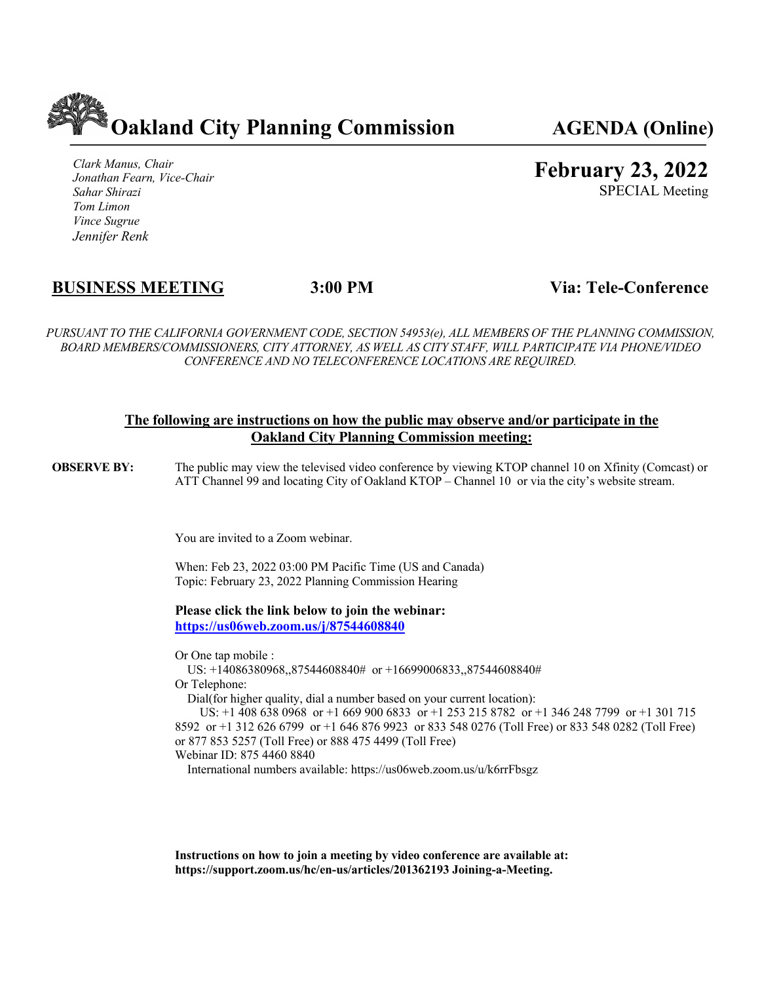

*Clark Manus, Chair Jonathan Fearn, Vice-Chair Sahar Shirazi Tom Limon Vince Sugrue Jennifer Renk*

**February 23, 2022**

SPECIAL Meeting

# **BUSINESS MEETING 3:00 PM Via: Tele-Conference**

*PURSUANT TO THE CALIFORNIA GOVERNMENT CODE, SECTION 54953(e), ALL MEMBERS OF THE PLANNING COMMISSION, BOARD MEMBERS/COMMISSIONERS, CITY ATTORNEY, AS WELL AS CITY STAFF, WILL PARTICIPATE VIA PHONE/VIDEO CONFERENCE AND NO TELECONFERENCE LOCATIONS ARE REQUIRED.*

### **The following are instructions on how the public may observe and/or participate in the Oakland City Planning Commission meeting:**

**OBSERVE BY:** The public may view the televised video conference by viewing KTOP channel 10 on Xfinity (Comcast) or ATT Channel 99 and locating City of Oakland KTOP – Channel 10 or via the city's website stream.

You are invited to a Zoom webinar.

When: Feb 23, 2022 03:00 PM Pacific Time (US and Canada) Topic: February 23, 2022 Planning Commission Hearing

**Please click the link below to join the webinar: https://us06web.zoom.us/j/87544608840**

Or One tap mobile :

 US: +14086380968,,87544608840# or +16699006833,,87544608840# Or Telephone:

Dial(for higher quality, dial a number based on your current location):

 US: +1 408 638 0968 or +1 669 900 6833 or +1 253 215 8782 or +1 346 248 7799 or +1 301 715 8592 or +1 312 626 6799 or +1 646 876 9923 or 833 548 0276 (Toll Free) or 833 548 0282 (Toll Free) or 877 853 5257 (Toll Free) or 888 475 4499 (Toll Free)

Webinar ID: 875 4460 8840

International numbers available: https://us06web.zoom.us/u/k6rrFbsgz

**Instructions on how to join a meeting by video conference are available at: https://support.zoom.us/hc/en-us/articles/201362193 Joining-a-Meeting.**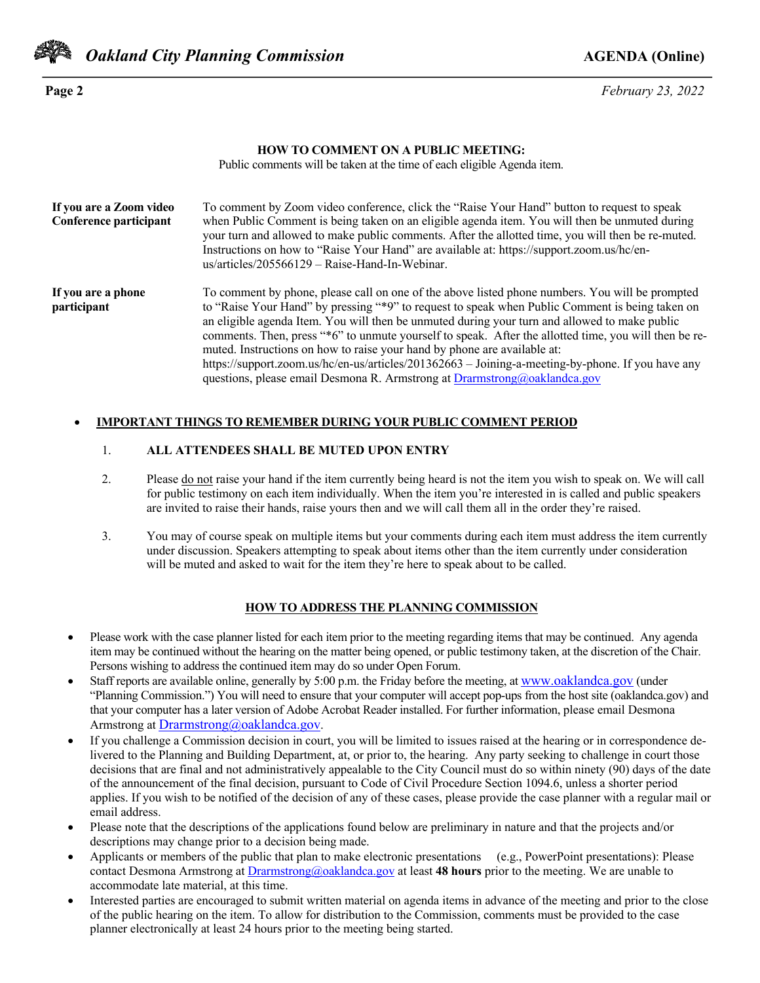

*Oakland City Planning Commission AGENDA* **(Online)** 

**Page 2** *February 23, 2022*

#### **HOW TO COMMENT ON A PUBLIC MEETING:**

Public comments will be taken at the time of each eligible Agenda item.

| If you are a Zoom video<br>Conference participant | To comment by Zoom video conference, click the "Raise Your Hand" button to request to speak<br>when Public Comment is being taken on an eligible agenda item. You will then be unmuted during<br>your turn and allowed to make public comments. After the allotted time, you will then be re-muted.<br>Instructions on how to "Raise Your Hand" are available at: https://support.zoom.us/hc/en-<br>$us/articles/205566129 - Raise-Hand-In-Webinar.$                                                                                                                                                                                                                       |
|---------------------------------------------------|----------------------------------------------------------------------------------------------------------------------------------------------------------------------------------------------------------------------------------------------------------------------------------------------------------------------------------------------------------------------------------------------------------------------------------------------------------------------------------------------------------------------------------------------------------------------------------------------------------------------------------------------------------------------------|
| If you are a phone<br>participant                 | To comment by phone, please call on one of the above listed phone numbers. You will be prompted<br>to "Raise Your Hand" by pressing "*9" to request to speak when Public Comment is being taken on<br>an eligible agenda Item. You will then be unmuted during your turn and allowed to make public<br>comments. Then, press "*6" to unmute yourself to speak. After the allotted time, you will then be re-<br>muted. Instructions on how to raise your hand by phone are available at:<br>https://support.zoom.us/hc/en-us/articles/201362663 - Joining-a-meeting-by-phone. If you have any<br>questions, please email Desmona R. Armstrong at Drarmstrong@oaklandca.gov |

#### • **IMPORTANT THINGS TO REMEMBER DURING YOUR PUBLIC COMMENT PERIOD**

#### 1. **ALL ATTENDEES SHALL BE MUTED UPON ENTRY**

- 2. Please do not raise your hand if the item currently being heard is not the item you wish to speak on. We will call for public testimony on each item individually. When the item you're interested in is called and public speakers are invited to raise their hands, raise yours then and we will call them all in the order they're raised.
- 3. You may of course speak on multiple items but your comments during each item must address the item currently under discussion. Speakers attempting to speak about items other than the item currently under consideration will be muted and asked to wait for the item they're here to speak about to be called.

#### **HOW TO ADDRESS THE PLANNING COMMISSION**

- Please work with the case planner listed for each item prior to the meeting regarding items that may be continued. Any agenda item may be continued without the hearing on the matter being opened, or public testimony taken, at the discretion of the Chair. Persons wishing to address the continued item may do so under Open Forum.
- Staff reports are available online, generally by 5:00 p.m. the Friday before the meeting, at www.oaklandca.gov (under "Planning Commission.") You will need to ensure that your computer will accept pop-ups from the host site (oaklandca.gov) and that your computer has a later version of Adobe Acrobat Reader installed. For further information, please email Desmona Armstrong at Drarmstrong@oaklandca.gov.
- If you challenge a Commission decision in court, you will be limited to issues raised at the hearing or in correspondence delivered to the Planning and Building Department, at, or prior to, the hearing. Any party seeking to challenge in court those decisions that are final and not administratively appealable to the City Council must do so within ninety (90) days of the date of the announcement of the final decision, pursuant to Code of Civil Procedure Section 1094.6, unless a shorter period applies. If you wish to be notified of the decision of any of these cases, please provide the case planner with a regular mail or email address.
- Please note that the descriptions of the applications found below are preliminary in nature and that the projects and/or descriptions may change prior to a decision being made.
- Applicants or members of the public that plan to make electronic presentations (e.g., PowerPoint presentations): Please contact Desmona Armstrong at Drarmstrong@oaklandca.gov at least **48 hours** prior to the meeting. We are unable to accommodate late material, at this time.
- Interested parties are encouraged to submit written material on agenda items in advance of the meeting and prior to the close of the public hearing on the item. To allow for distribution to the Commission, comments must be provided to the case planner electronically at least 24 hours prior to the meeting being started.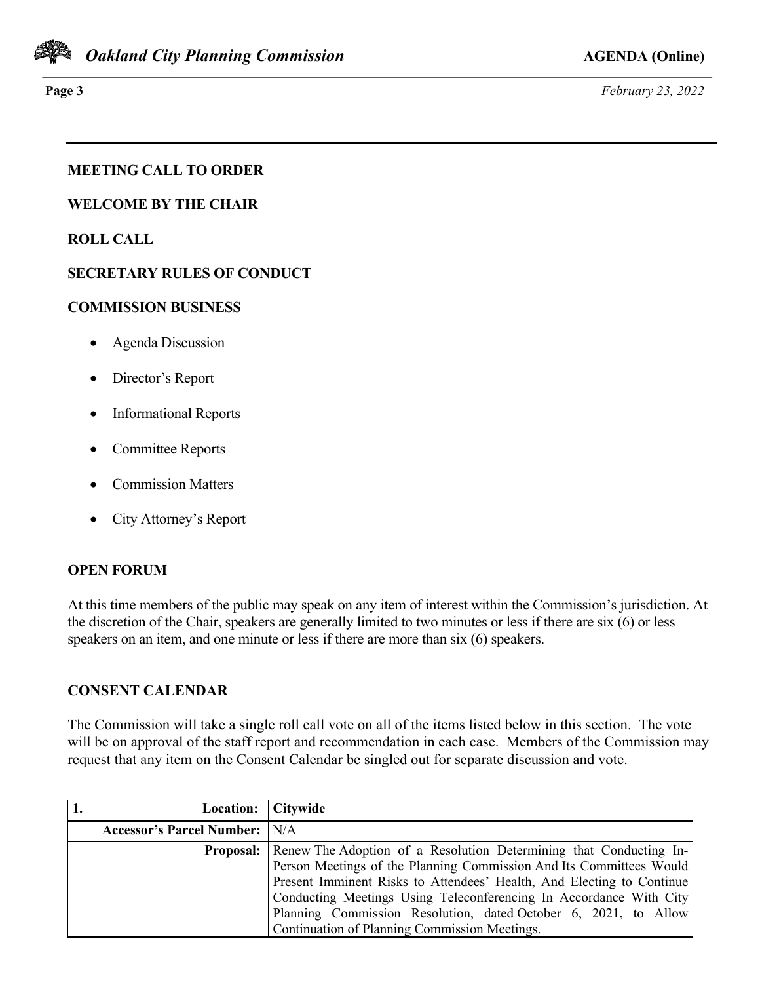

**Page 3** *February 23, 2022*

# **MEETING CALL TO ORDER**

**WELCOME BY THE CHAIR**

**ROLL CALL**

# **SECRETARY RULES OF CONDUCT**

### **COMMISSION BUSINESS**

- Agenda Discussion
- Director's Report
- Informational Reports
- Committee Reports
- Commission Matters
- City Attorney's Report

## **OPEN FORUM**

At this time members of the public may speak on any item of interest within the Commission's jurisdiction. At the discretion of the Chair, speakers are generally limited to two minutes or less if there are six (6) or less speakers on an item, and one minute or less if there are more than six (6) speakers.

## **CONSENT CALENDAR**

The Commission will take a single roll call vote on all of the items listed below in this section. The vote will be on approval of the staff report and recommendation in each case. Members of the Commission may request that any item on the Consent Calendar be singled out for separate discussion and vote.

| Location: Citywide                                                 |                                                                                     |
|--------------------------------------------------------------------|-------------------------------------------------------------------------------------|
| <b>Accessor's Parcel Number:</b>   N/A                             |                                                                                     |
|                                                                    | <b>Proposal:</b> Renew The Adoption of a Resolution Determining that Conducting In- |
|                                                                    | Person Meetings of the Planning Commission And Its Committees Would                 |
|                                                                    | Present Imminent Risks to Attendees' Health, And Electing to Continue               |
| Conducting Meetings Using Teleconferencing In Accordance With City |                                                                                     |
|                                                                    | Planning Commission Resolution, dated October 6, 2021, to Allow                     |
|                                                                    | Continuation of Planning Commission Meetings.                                       |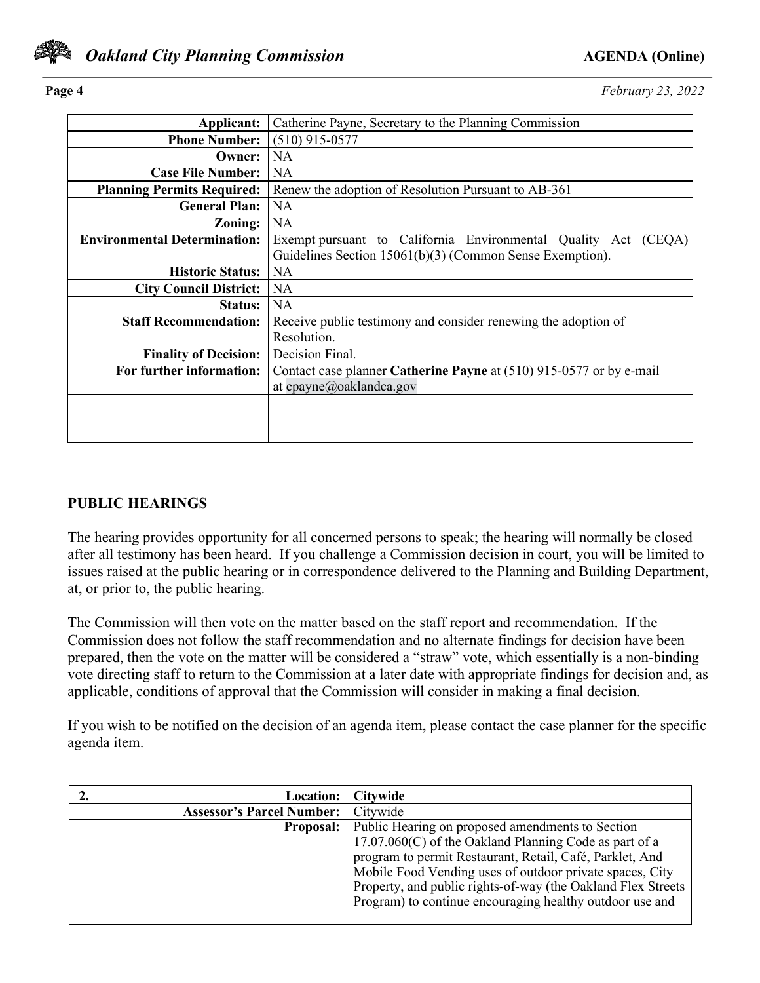

**Page 4** *February 23, 2022*

| Applicant:                          | Catherine Payne, Secretary to the Planning Commission               |  |  |  |
|-------------------------------------|---------------------------------------------------------------------|--|--|--|
| <b>Phone Number:</b>                | $(510)$ 915-0577                                                    |  |  |  |
| Owner:                              | <b>NA</b>                                                           |  |  |  |
| <b>Case File Number:</b>            | <b>NA</b>                                                           |  |  |  |
| <b>Planning Permits Required:</b>   | Renew the adoption of Resolution Pursuant to AB-361                 |  |  |  |
| <b>General Plan:</b>                | <b>NA</b>                                                           |  |  |  |
| $\bf{Zoning:}$                      | <b>NA</b>                                                           |  |  |  |
| <b>Environmental Determination:</b> | Exempt pursuant to California Environmental Quality Act (CEQA)      |  |  |  |
|                                     | Guidelines Section 15061(b)(3) (Common Sense Exemption).            |  |  |  |
| <b>Historic Status:</b>             | <b>NA</b>                                                           |  |  |  |
| <b>City Council District:</b>       | <b>NA</b>                                                           |  |  |  |
| Status:                             | <b>NA</b>                                                           |  |  |  |
| <b>Staff Recommendation:</b>        | Receive public testimony and consider renewing the adoption of      |  |  |  |
|                                     | Resolution.                                                         |  |  |  |
| <b>Finality of Decision:</b>        | Decision Final.                                                     |  |  |  |
| For further information:            | Contact case planner Catherine Payne at (510) 915-0577 or by e-mail |  |  |  |
|                                     | at cpayne@oaklandca.gov                                             |  |  |  |
|                                     |                                                                     |  |  |  |
|                                     |                                                                     |  |  |  |
|                                     |                                                                     |  |  |  |

### **PUBLIC HEARINGS**

The hearing provides opportunity for all concerned persons to speak; the hearing will normally be closed after all testimony has been heard. If you challenge a Commission decision in court, you will be limited to issues raised at the public hearing or in correspondence delivered to the Planning and Building Department, at, or prior to, the public hearing.

The Commission will then vote on the matter based on the staff report and recommendation. If the Commission does not follow the staff recommendation and no alternate findings for decision have been prepared, then the vote on the matter will be considered a "straw" vote, which essentially is a non-binding vote directing staff to return to the Commission at a later date with appropriate findings for decision and, as applicable, conditions of approval that the Commission will consider in making a final decision.

If you wish to be notified on the decision of an agenda item, please contact the case planner for the specific agenda item.

| Location:                        | <b>Citywide</b>                                              |
|----------------------------------|--------------------------------------------------------------|
| <b>Assessor's Parcel Number:</b> | Citywide                                                     |
| <b>Proposal:</b>                 | Public Hearing on proposed amendments to Section             |
|                                  | $17.07.060(C)$ of the Oakland Planning Code as part of a     |
|                                  | program to permit Restaurant, Retail, Café, Parklet, And     |
|                                  | Mobile Food Vending uses of outdoor private spaces, City     |
|                                  | Property, and public rights-of-way (the Oakland Flex Streets |
|                                  | Program) to continue encouraging healthy outdoor use and     |
|                                  |                                                              |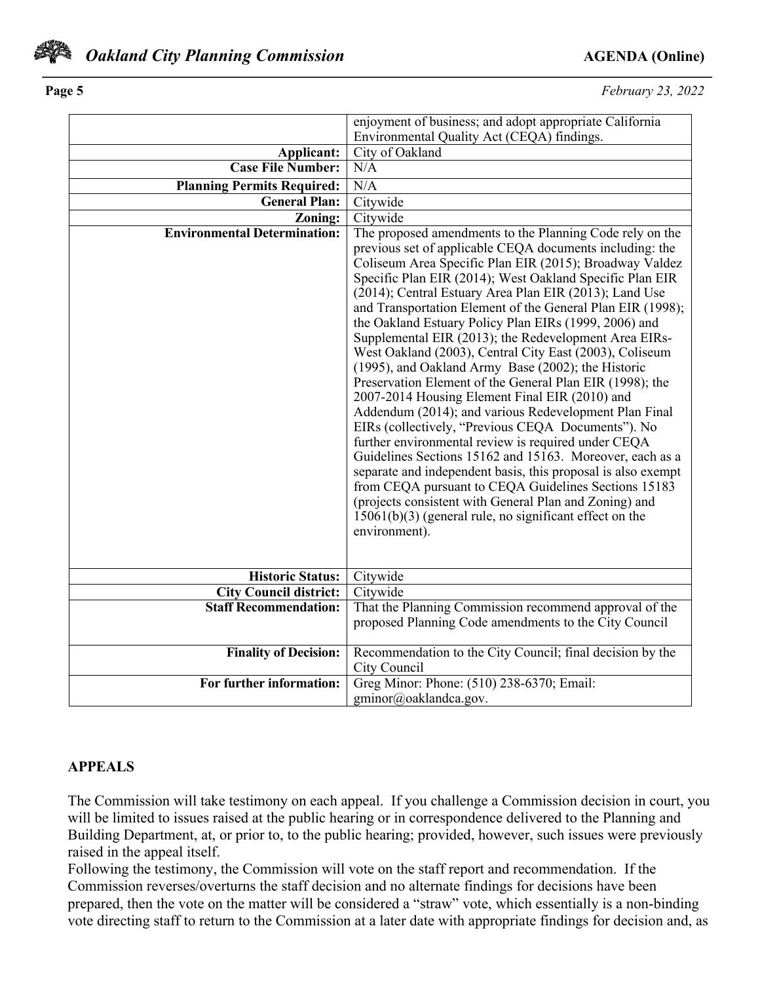

**Page 5** *February 23, 2022*

|                                     | enjoyment of business; and adopt appropriate California      |
|-------------------------------------|--------------------------------------------------------------|
|                                     | Environmental Quality Act (CEQA) findings.                   |
| Applicant:                          | City of Oakland                                              |
| <b>Case File Number:</b>            | N/A                                                          |
| <b>Planning Permits Required:</b>   | N/A                                                          |
| <b>General Plan:</b>                | Citywide                                                     |
| Zoning:                             | Citywide                                                     |
| <b>Environmental Determination:</b> | The proposed amendments to the Planning Code rely on the     |
|                                     | previous set of applicable CEQA documents including: the     |
|                                     | Coliseum Area Specific Plan EIR (2015); Broadway Valdez      |
|                                     | Specific Plan EIR (2014); West Oakland Specific Plan EIR     |
|                                     | (2014); Central Estuary Area Plan EIR (2013); Land Use       |
|                                     | and Transportation Element of the General Plan EIR (1998);   |
|                                     | the Oakland Estuary Policy Plan EIRs (1999, 2006) and        |
|                                     | Supplemental EIR (2013); the Redevelopment Area EIRs-        |
|                                     | West Oakland (2003), Central City East (2003), Coliseum      |
|                                     | (1995), and Oakland Army Base (2002); the Historic           |
|                                     | Preservation Element of the General Plan EIR (1998); the     |
|                                     | 2007-2014 Housing Element Final EIR (2010) and               |
|                                     | Addendum (2014); and various Redevelopment Plan Final        |
|                                     | EIRs (collectively, "Previous CEQA Documents"). No           |
|                                     | further environmental review is required under CEQA          |
|                                     | Guidelines Sections 15162 and 15163. Moreover, each as a     |
|                                     | separate and independent basis, this proposal is also exempt |
|                                     | from CEQA pursuant to CEQA Guidelines Sections 15183         |
|                                     | (projects consistent with General Plan and Zoning) and       |
|                                     | $15061(b)(3)$ (general rule, no significant effect on the    |
|                                     | environment).                                                |
|                                     |                                                              |
| <b>Historic Status:</b>             | Citywide                                                     |
| <b>City Council district:</b>       | Citywide                                                     |
| <b>Staff Recommendation:</b>        | That the Planning Commission recommend approval of the       |
|                                     | proposed Planning Code amendments to the City Council        |
|                                     |                                                              |
| <b>Finality of Decision:</b>        | Recommendation to the City Council; final decision by the    |
|                                     | City Council                                                 |
| For further information:            | Greg Minor: Phone: (510) 238-6370; Email:                    |
|                                     | gminor@oaklandca.gov.                                        |

## **APPEALS**

The Commission will take testimony on each appeal. If you challenge a Commission decision in court, you will be limited to issues raised at the public hearing or in correspondence delivered to the Planning and Building Department, at, or prior to, to the public hearing; provided, however, such issues were previously raised in the appeal itself.

Following the testimony, the Commission will vote on the staff report and recommendation. If the Commission reverses/overturns the staff decision and no alternate findings for decisions have been prepared, then the vote on the matter will be considered a "straw" vote, which essentially is a non-binding vote directing staff to return to the Commission at a later date with appropriate findings for decision and, as